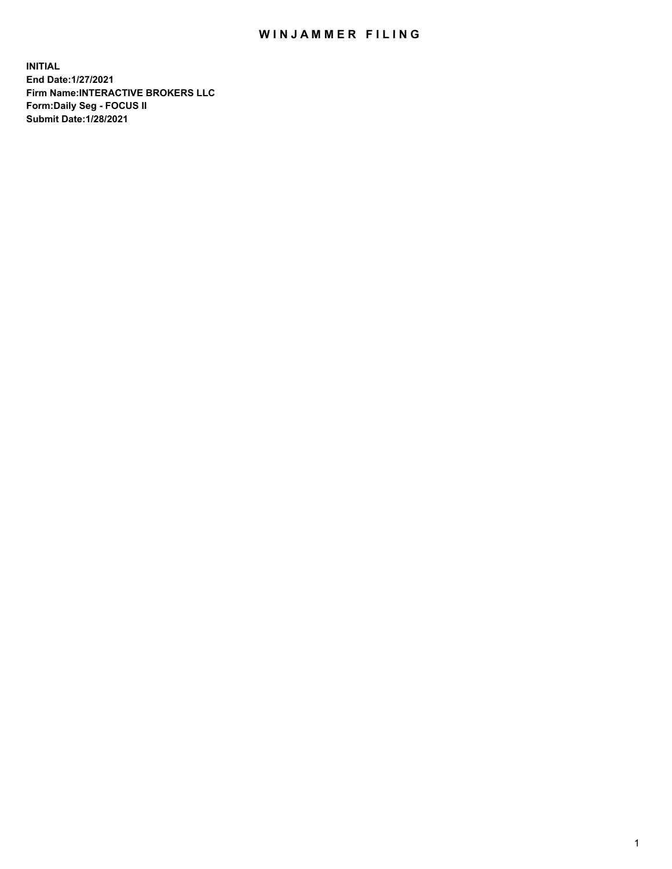## WIN JAMMER FILING

**INITIAL End Date:1/27/2021 Firm Name:INTERACTIVE BROKERS LLC Form:Daily Seg - FOCUS II Submit Date:1/28/2021**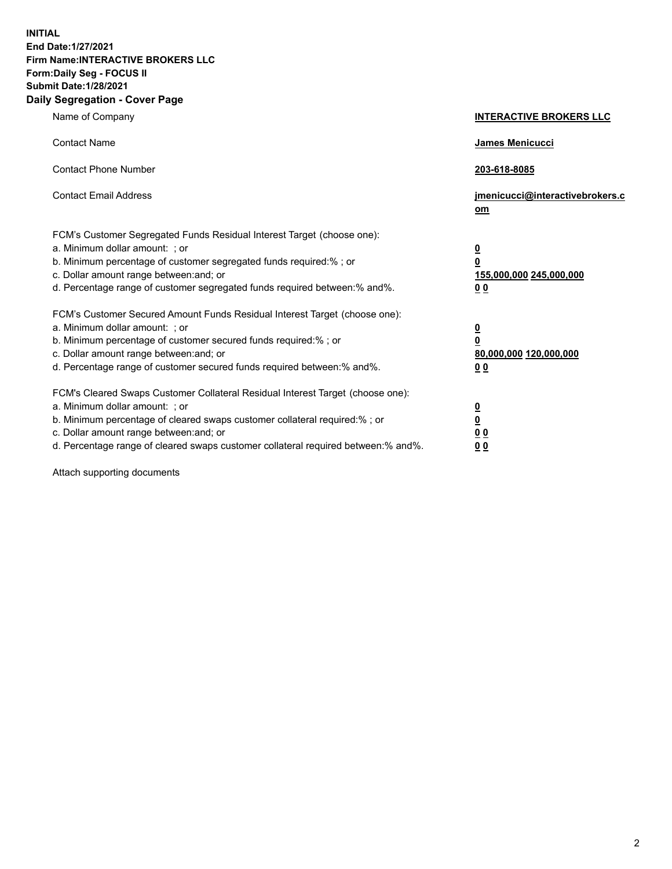**INITIAL End Date:1/27/2021 Firm Name:INTERACTIVE BROKERS LLC Form:Daily Seg - FOCUS II Submit Date:1/28/2021 Daily Segregation - Cover Page**

| Name of Company                                                                                                                                                                                                                                                                                                               | <b>INTERACTIVE BROKERS LLC</b>                                                            |  |
|-------------------------------------------------------------------------------------------------------------------------------------------------------------------------------------------------------------------------------------------------------------------------------------------------------------------------------|-------------------------------------------------------------------------------------------|--|
| <b>Contact Name</b>                                                                                                                                                                                                                                                                                                           | James Menicucci                                                                           |  |
| <b>Contact Phone Number</b>                                                                                                                                                                                                                                                                                                   | 203-618-8085                                                                              |  |
| <b>Contact Email Address</b>                                                                                                                                                                                                                                                                                                  | jmenicucci@interactivebrokers.c<br><u>om</u>                                              |  |
| FCM's Customer Segregated Funds Residual Interest Target (choose one):<br>a. Minimum dollar amount: ; or<br>b. Minimum percentage of customer segregated funds required:% ; or<br>c. Dollar amount range between: and; or<br>d. Percentage range of customer segregated funds required between: % and %.                      | $\overline{\mathbf{0}}$<br>0<br>155,000,000 245,000,000<br>0 <sub>0</sub>                 |  |
| FCM's Customer Secured Amount Funds Residual Interest Target (choose one):<br>a. Minimum dollar amount: ; or<br>b. Minimum percentage of customer secured funds required:%; or<br>c. Dollar amount range between: and; or<br>d. Percentage range of customer secured funds required between:% and%.                           | <u>0</u><br>$\overline{\mathbf{0}}$<br>80,000,000 120,000,000<br>00                       |  |
| FCM's Cleared Swaps Customer Collateral Residual Interest Target (choose one):<br>a. Minimum dollar amount: ; or<br>b. Minimum percentage of cleared swaps customer collateral required:%; or<br>c. Dollar amount range between: and; or<br>d. Percentage range of cleared swaps customer collateral required between:% and%. | <u>0</u><br>$\underline{\mathbf{0}}$<br>$\underline{0}$ $\underline{0}$<br>0 <sub>0</sub> |  |

Attach supporting documents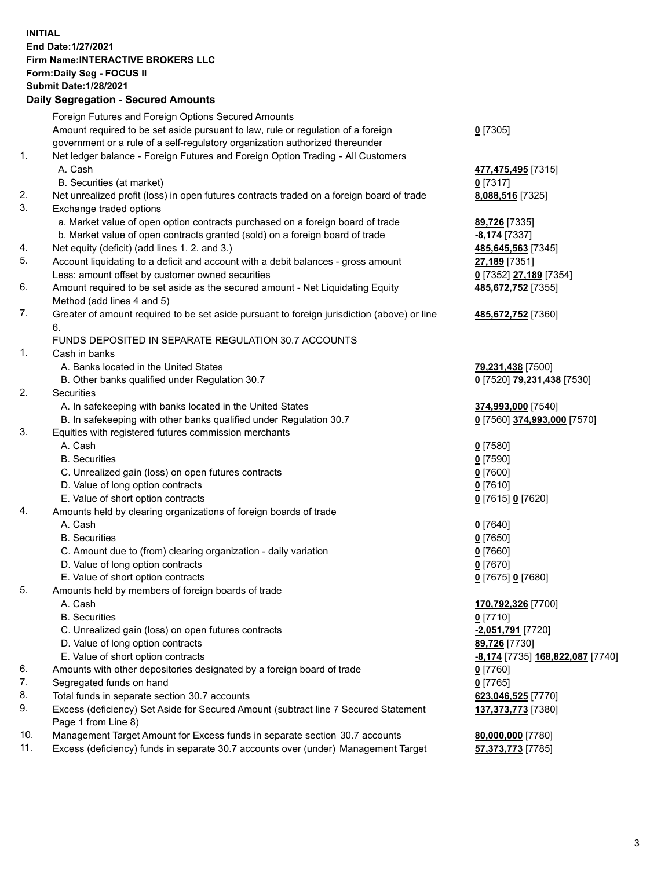**INITIAL End Date:1/27/2021 Firm Name:INTERACTIVE BROKERS LLC Form:Daily Seg - FOCUS II Submit Date:1/28/2021 Daily Segregation - Secured Amounts**

## Foreign Futures and Foreign Options Secured Amounts Amount required to be set aside pursuant to law, rule or regulation of a foreign government or a rule of a self-regulatory organization authorized thereunder **0** [7305] 1. Net ledger balance - Foreign Futures and Foreign Option Trading - All Customers A. Cash **477,475,495** [7315] B. Securities (at market) **0** [7317] 2. Net unrealized profit (loss) in open futures contracts traded on a foreign board of trade **8,088,516** [7325] 3. Exchange traded options a. Market value of open option contracts purchased on a foreign board of trade **89,726** [7335] b. Market value of open contracts granted (sold) on a foreign board of trade **-8,174** [7337] 4. Net equity (deficit) (add lines 1. 2. and 3.) **485,645,563** [7345] 5. Account liquidating to a deficit and account with a debit balances - gross amount **27,189** [7351] Less: amount offset by customer owned securities **0** [7352] **27,189** [7354] 6. Amount required to be set aside as the secured amount - Net Liquidating Equity Method (add lines 4 and 5) **485,672,752** [7355] 7. Greater of amount required to be set aside pursuant to foreign jurisdiction (above) or line 6. **485,672,752** [7360] FUNDS DEPOSITED IN SEPARATE REGULATION 30.7 ACCOUNTS 1. Cash in banks A. Banks located in the United States **79,231,438** [7500] B. Other banks qualified under Regulation 30.7 **0** [7520] **79,231,438** [7530] 2. Securities A. In safekeeping with banks located in the United States **374,993,000** [7540] B. In safekeeping with other banks qualified under Regulation 30.7 **0** [7560] **374,993,000** [7570] 3. Equities with registered futures commission merchants A. Cash **0** [7580] B. Securities **0** [7590] C. Unrealized gain (loss) on open futures contracts **0** [7600] D. Value of long option contracts **0** [7610] E. Value of short option contracts **0** [7615] **0** [7620] 4. Amounts held by clearing organizations of foreign boards of trade A. Cash **0** [7640] B. Securities **0** [7650] C. Amount due to (from) clearing organization - daily variation **0** [7660] D. Value of long option contracts **0** [7670] E. Value of short option contracts **0** [7675] **0** [7680] 5. Amounts held by members of foreign boards of trade A. Cash **170,792,326** [7700] B. Securities **0** [7710] C. Unrealized gain (loss) on open futures contracts **-2,051,791** [7720] D. Value of long option contracts **89,726** [7730] E. Value of short option contracts **-8,174** [7735] **168,822,087** [7740] 6. Amounts with other depositories designated by a foreign board of trade **0** [7760] 7. Segregated funds on hand **0** [7765] 8. Total funds in separate section 30.7 accounts **623,046,525** [7770] 9. Excess (deficiency) Set Aside for Secured Amount (subtract line 7 Secured Statement Page 1 from Line 8) **137,373,773** [7380] 10. Management Target Amount for Excess funds in separate section 30.7 accounts **80,000,000** [7780] 11. Excess (deficiency) funds in separate 30.7 accounts over (under) Management Target **57,373,773** [7785]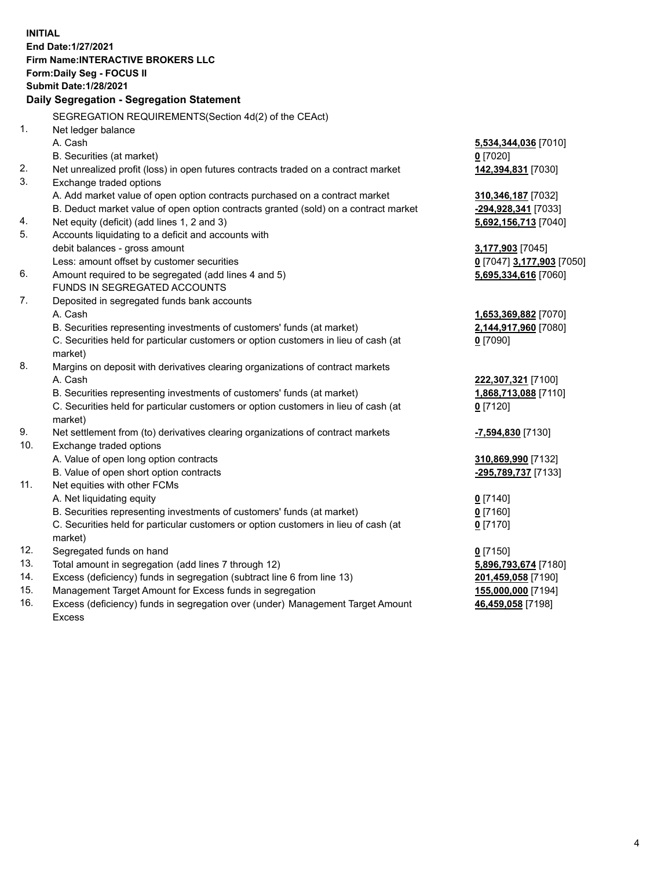**INITIAL End Date:1/27/2021 Firm Name:INTERACTIVE BROKERS LLC Form:Daily Seg - FOCUS II Submit Date:1/28/2021 Daily Segregation - Segregation Statement** SEGREGATION REQUIREMENTS(Section 4d(2) of the CEAct) 1. Net ledger balance A. Cash **5,534,344,036** [7010] B. Securities (at market) **0** [7020] 2. Net unrealized profit (loss) in open futures contracts traded on a contract market **142,394,831** [7030] 3. Exchange traded options A. Add market value of open option contracts purchased on a contract market **310,346,187** [7032] B. Deduct market value of open option contracts granted (sold) on a contract market **-294,928,341** [7033] 4. Net equity (deficit) (add lines 1, 2 and 3) **5,692,156,713** [7040] 5. Accounts liquidating to a deficit and accounts with debit balances - gross amount **3,177,903** [7045] Less: amount offset by customer securities **0** [7047] **3,177,903** [7050] 6. Amount required to be segregated (add lines 4 and 5) **5,695,334,616** [7060] FUNDS IN SEGREGATED ACCOUNTS 7. Deposited in segregated funds bank accounts A. Cash **1,653,369,882** [7070] B. Securities representing investments of customers' funds (at market) **2,144,917,960** [7080] C. Securities held for particular customers or option customers in lieu of cash (at market) **0** [7090] 8. Margins on deposit with derivatives clearing organizations of contract markets A. Cash **222,307,321** [7100] B. Securities representing investments of customers' funds (at market) **1,868,713,088** [7110] C. Securities held for particular customers or option customers in lieu of cash (at market) **0** [7120] 9. Net settlement from (to) derivatives clearing organizations of contract markets **-7,594,830** [7130] 10. Exchange traded options A. Value of open long option contracts **310,869,990** [7132] B. Value of open short option contracts **-295,789,737** [7133] 11. Net equities with other FCMs A. Net liquidating equity **0** [7140] B. Securities representing investments of customers' funds (at market) **0** [7160] C. Securities held for particular customers or option customers in lieu of cash (at market) **0** [7170] 12. Segregated funds on hand **0** [7150] 13. Total amount in segregation (add lines 7 through 12) **5,896,793,674** [7180] 14. Excess (deficiency) funds in segregation (subtract line 6 from line 13) **201,459,058** [7190] 15. Management Target Amount for Excess funds in segregation **155,000,000** [7194] **46,459,058** [7198]

16. Excess (deficiency) funds in segregation over (under) Management Target Amount Excess